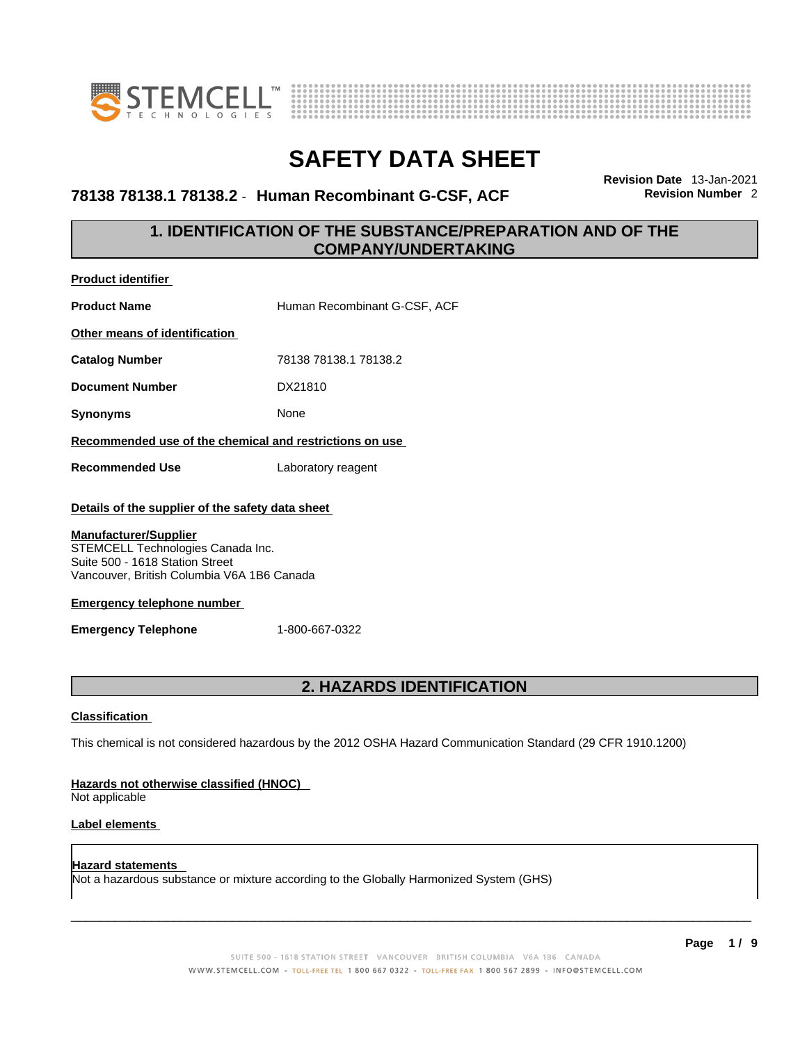



### **78138 78138.1 78138.2** - **Human Recombinant G-CSF, ACF Revision Number** 2

**Revision Date** 13-Jan-2021

### **1. IDENTIFICATION OF THE SUBSTANCE/PREPARATION AND OF THE COMPANY/UNDERTAKING**

| <b>Product identifier</b>                                                                                                                          |                              |  |
|----------------------------------------------------------------------------------------------------------------------------------------------------|------------------------------|--|
| <b>Product Name</b>                                                                                                                                | Human Recombinant G-CSF, ACF |  |
| Other means of identification                                                                                                                      |                              |  |
| <b>Catalog Number</b>                                                                                                                              | 78138 78138.1 78138.2        |  |
| <b>Document Number</b>                                                                                                                             | DX21810                      |  |
| <b>Synonyms</b>                                                                                                                                    | None                         |  |
| Recommended use of the chemical and restrictions on use                                                                                            |                              |  |
| <b>Recommended Use</b>                                                                                                                             | Laboratory reagent           |  |
| Details of the supplier of the safety data sheet                                                                                                   |                              |  |
| <b>Manufacturer/Supplier</b><br>STEMCELL Technologies Canada Inc.<br>Suite 500 - 1618 Station Street<br>Vancouver, British Columbia V6A 1B6 Canada |                              |  |
| <b>Emergency telephone number</b>                                                                                                                  |                              |  |
| <b>Emergency Telephone</b>                                                                                                                         | 1-800-667-0322               |  |

### **2. HAZARDS IDENTIFICATION**

### **Classification**

This chemical is not considered hazardous by the 2012 OSHA Hazard Communication Standard (29 CFR 1910.1200)

### **Hazards not otherwise classified (HNOC)**

Not applicable

### **Label elements**

**Hazard statements**  Not a hazardous substance or mixture according to the Globally Harmonized System (GHS)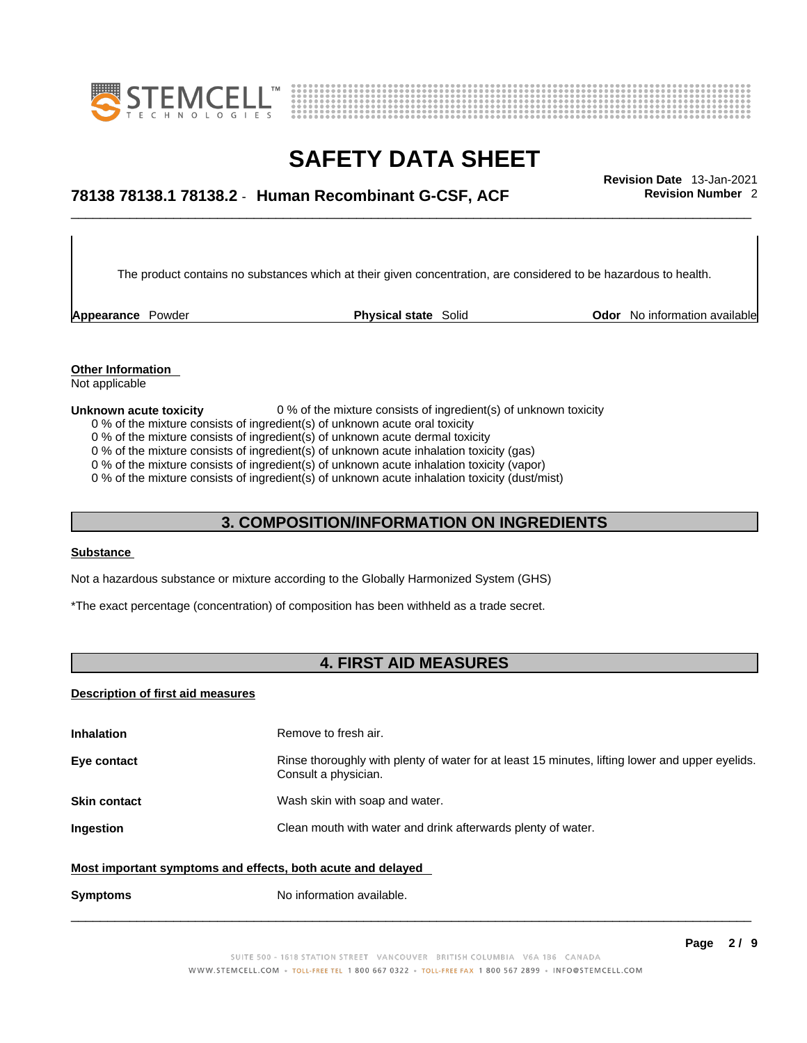



## \_\_\_\_\_\_\_\_\_\_\_\_\_\_\_\_\_\_\_\_\_\_\_\_\_\_\_\_\_\_\_\_\_\_\_\_\_\_\_\_\_\_\_\_\_\_\_\_\_\_\_\_\_\_\_\_\_\_\_\_\_\_\_\_\_\_\_\_\_\_\_\_\_\_\_\_\_\_\_\_\_\_\_\_\_\_\_\_\_\_\_\_\_ **Revision Date** 13-Jan-2021 **78138 78138.1 78138.2** - **Human Recombinant G-CSF, ACF Revision Number** 2

The product contains no substances which at their given concentration, are considered to be hazardous to health.

**Appearance** Powder **Physical state** Solid **Physical state Solid Physical state Solid Odor** No information available

**Other Information**  Not applicable

#### **Unknown acute toxicity** 0 % of the mixture consists of ingredient(s) of unknown toxicity

- 0 % of the mixture consists of ingredient(s) of unknown acute oral toxicity
- 0 % of the mixture consists of ingredient(s) of unknown acute dermal toxicity
- 0 % of the mixture consists of ingredient(s) of unknown acute inhalation toxicity (gas)
- 0 % of the mixture consists of ingredient(s) of unknown acute inhalation toxicity (vapor)

0 % of the mixture consists of ingredient(s) of unknown acute inhalation toxicity (dust/mist)

### **3. COMPOSITION/INFORMATION ON INGREDIENTS**

### **Substance**

Not a hazardous substance or mixture according to the Globally Harmonized System (GHS)

\*The exact percentage (concentration) of composition has been withheld as a trade secret.

### **4. FIRST AID MEASURES**

#### **Description of first aid measures**

| <b>Inhalation</b>                                                                                           | Remove to fresh air.                                                                                                    |  |
|-------------------------------------------------------------------------------------------------------------|-------------------------------------------------------------------------------------------------------------------------|--|
| Eye contact                                                                                                 | Rinse thoroughly with plenty of water for at least 15 minutes, lifting lower and upper eyelids.<br>Consult a physician. |  |
| <b>Skin contact</b>                                                                                         | Wash skin with soap and water.                                                                                          |  |
| Ingestion                                                                                                   | Clean mouth with water and drink afterwards plenty of water.                                                            |  |
| Most important symptoms and effects, both acute and delayed<br>No information available.<br><b>Symptoms</b> |                                                                                                                         |  |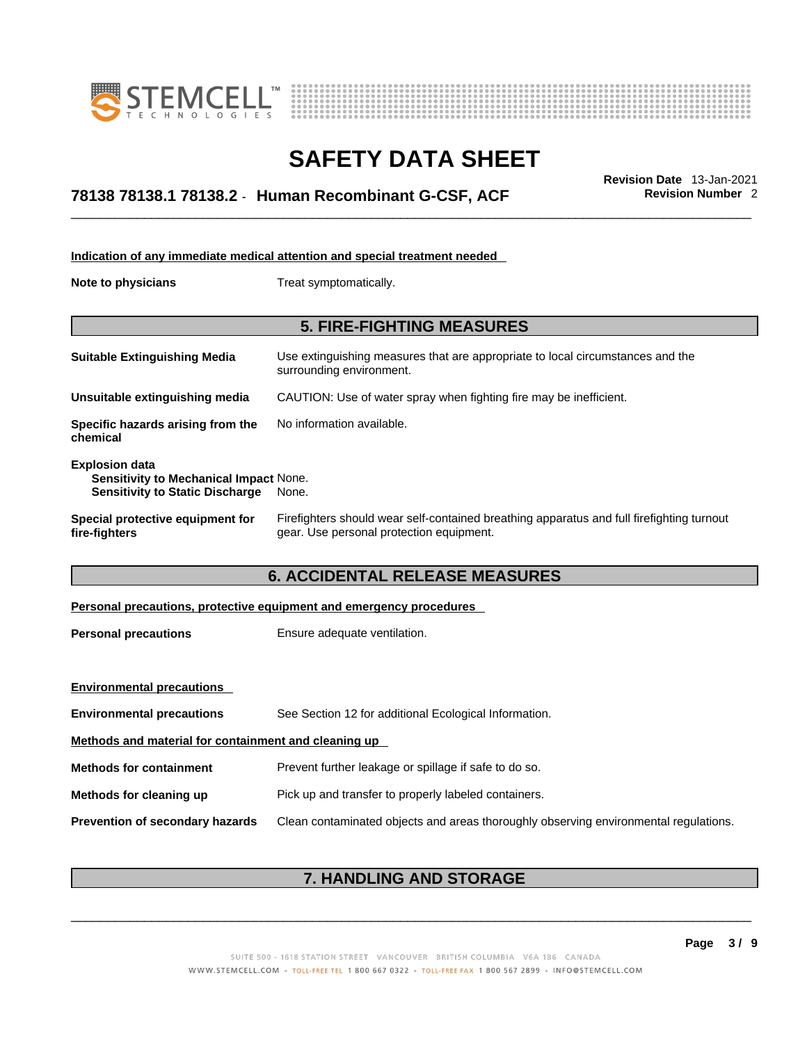



## \_\_\_\_\_\_\_\_\_\_\_\_\_\_\_\_\_\_\_\_\_\_\_\_\_\_\_\_\_\_\_\_\_\_\_\_\_\_\_\_\_\_\_\_\_\_\_\_\_\_\_\_\_\_\_\_\_\_\_\_\_\_\_\_\_\_\_\_\_\_\_\_\_\_\_\_\_\_\_\_\_\_\_\_\_\_\_\_\_\_\_\_\_ **Revision Date** 13-Jan-2021 **78138 78138.1 78138.2** - **Human Recombinant G-CSF, ACF Revision Number** 2

| Indication of any immediate medical attention and special treatment needed                                |                                                                                                                                       |  |
|-----------------------------------------------------------------------------------------------------------|---------------------------------------------------------------------------------------------------------------------------------------|--|
| Note to physicians                                                                                        | Treat symptomatically.                                                                                                                |  |
|                                                                                                           | <b>5. FIRE-FIGHTING MEASURES</b>                                                                                                      |  |
|                                                                                                           |                                                                                                                                       |  |
| <b>Suitable Extinguishing Media</b>                                                                       | Use extinguishing measures that are appropriate to local circumstances and the<br>surrounding environment.                            |  |
| Unsuitable extinguishing media                                                                            | CAUTION: Use of water spray when fighting fire may be inefficient.                                                                    |  |
| Specific hazards arising from the<br>chemical                                                             | No information available.                                                                                                             |  |
| <b>Explosion data</b><br>Sensitivity to Mechanical Impact None.<br><b>Sensitivity to Static Discharge</b> | None.                                                                                                                                 |  |
| Special protective equipment for<br>fire-fighters                                                         | Firefighters should wear self-contained breathing apparatus and full firefighting turnout<br>gear. Use personal protection equipment. |  |
| <b>6. ACCIDENTAL RELEASE MEASURES</b>                                                                     |                                                                                                                                       |  |
|                                                                                                           |                                                                                                                                       |  |
|                                                                                                           | Personal precautions, protective equipment and emergency procedures                                                                   |  |
| <b>Personal precautions</b>                                                                               | Ensure adequate ventilation.                                                                                                          |  |
|                                                                                                           |                                                                                                                                       |  |

| <b>Environmental precautions</b>                     |                                                                                      |  |
|------------------------------------------------------|--------------------------------------------------------------------------------------|--|
| <b>Environmental precautions</b>                     | See Section 12 for additional Ecological Information.                                |  |
| Methods and material for containment and cleaning up |                                                                                      |  |
| <b>Methods for containment</b>                       | Prevent further leakage or spillage if safe to do so.                                |  |
| Methods for cleaning up                              | Pick up and transfer to properly labeled containers.                                 |  |
| <b>Prevention of secondary hazards</b>               | Clean contaminated objects and areas thoroughly observing environmental regulations. |  |

### **7. HANDLING AND STORAGE**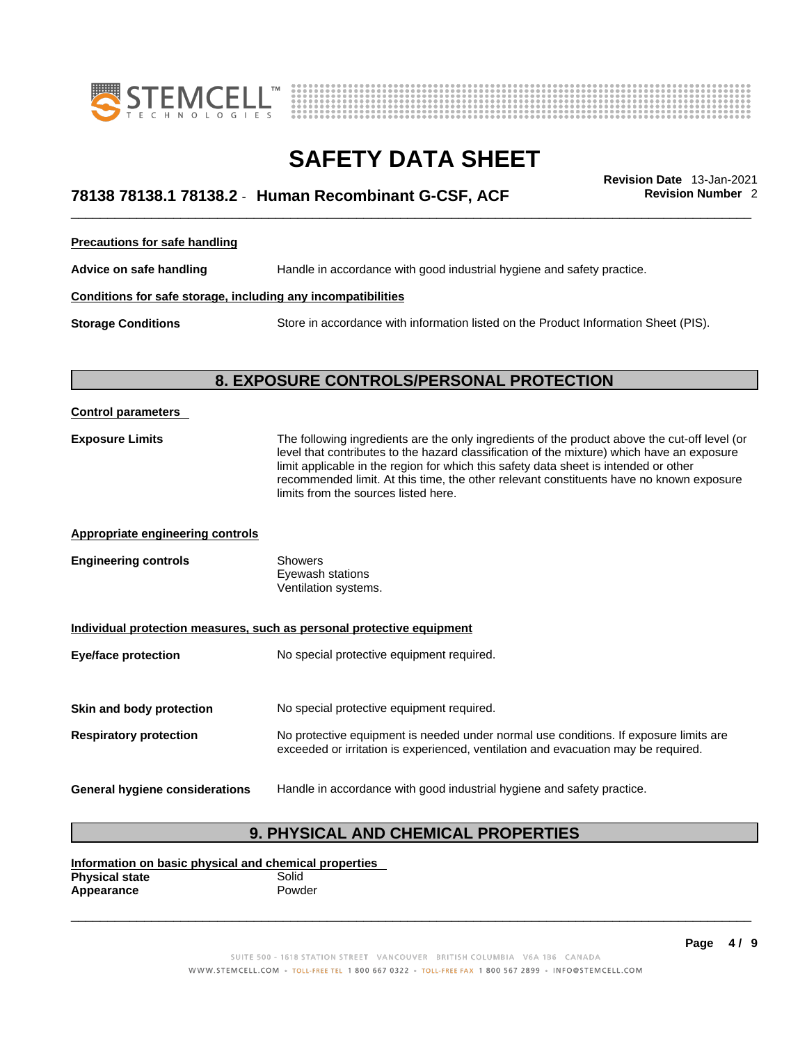



## \_\_\_\_\_\_\_\_\_\_\_\_\_\_\_\_\_\_\_\_\_\_\_\_\_\_\_\_\_\_\_\_\_\_\_\_\_\_\_\_\_\_\_\_\_\_\_\_\_\_\_\_\_\_\_\_\_\_\_\_\_\_\_\_\_\_\_\_\_\_\_\_\_\_\_\_\_\_\_\_\_\_\_\_\_\_\_\_\_\_\_\_\_ **Revision Date** 13-Jan-2021 **78138 78138.1 78138.2** - **Human Recombinant G-CSF, ACF Revision Number** 2

**Precautions for safe handling**

**Advice on safe handling** Handle in accordance with good industrial hygiene and safety practice.

### **Conditions for safe storage, including any incompatibilities**

**Storage Conditions** Store in accordance with information listed on the Product Information Sheet (PIS).

### **8. EXPOSURE CONTROLS/PERSONAL PROTECTION**

| <b>Control parameters</b>                                             |                                                                                                                                                                                                                                                                                                                                                                                                                        |
|-----------------------------------------------------------------------|------------------------------------------------------------------------------------------------------------------------------------------------------------------------------------------------------------------------------------------------------------------------------------------------------------------------------------------------------------------------------------------------------------------------|
| <b>Exposure Limits</b>                                                | The following ingredients are the only ingredients of the product above the cut-off level (or<br>level that contributes to the hazard classification of the mixture) which have an exposure<br>limit applicable in the region for which this safety data sheet is intended or other<br>recommended limit. At this time, the other relevant constituents have no known exposure<br>limits from the sources listed here. |
| <b>Appropriate engineering controls</b>                               |                                                                                                                                                                                                                                                                                                                                                                                                                        |
| <b>Engineering controls</b>                                           | <b>Showers</b><br>Eyewash stations<br>Ventilation systems.                                                                                                                                                                                                                                                                                                                                                             |
| Individual protection measures, such as personal protective equipment |                                                                                                                                                                                                                                                                                                                                                                                                                        |
| <b>Eye/face protection</b>                                            | No special protective equipment required.                                                                                                                                                                                                                                                                                                                                                                              |
| Skin and body protection                                              | No special protective equipment required.                                                                                                                                                                                                                                                                                                                                                                              |
| <b>Respiratory protection</b>                                         | No protective equipment is needed under normal use conditions. If exposure limits are<br>exceeded or irritation is experienced, ventilation and evacuation may be required.                                                                                                                                                                                                                                            |
| General hygiene considerations                                        | Handle in accordance with good industrial hygiene and safety practice.                                                                                                                                                                                                                                                                                                                                                 |

### **9. PHYSICAL AND CHEMICAL PROPERTIES**

**Information on basic physical and chemical properties Physical state** Solid<br> **Appearance** Powder **Appearance**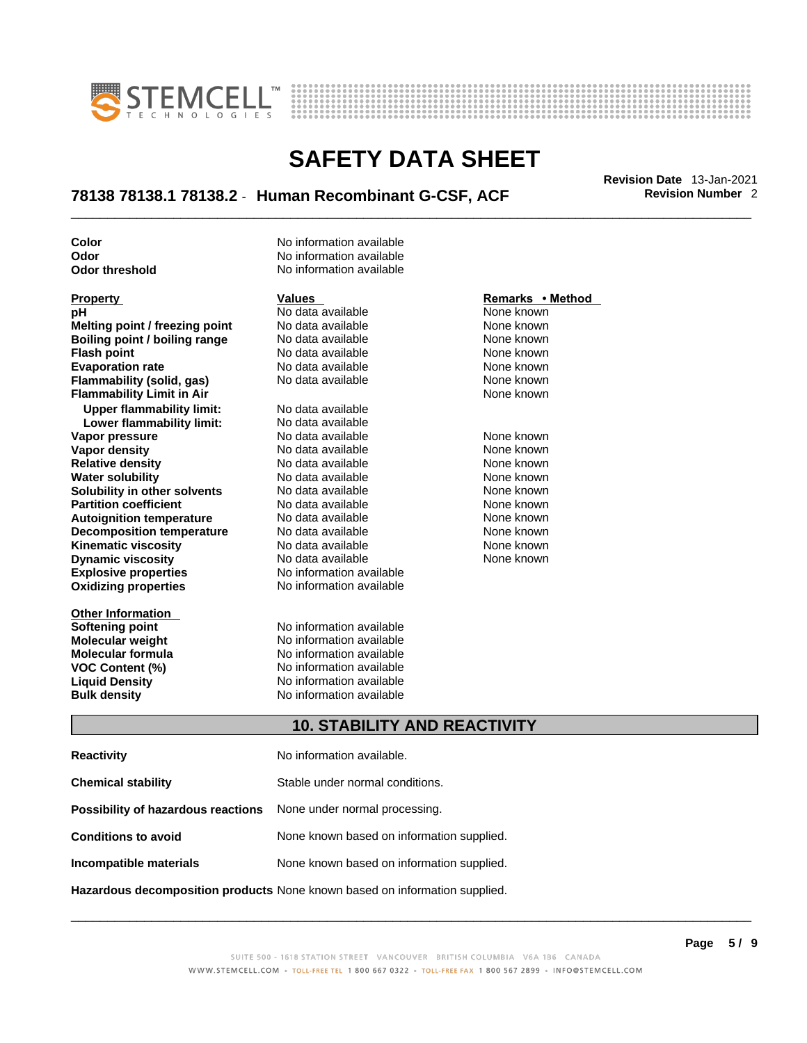



## \_\_\_\_\_\_\_\_\_\_\_\_\_\_\_\_\_\_\_\_\_\_\_\_\_\_\_\_\_\_\_\_\_\_\_\_\_\_\_\_\_\_\_\_\_\_\_\_\_\_\_\_\_\_\_\_\_\_\_\_\_\_\_\_\_\_\_\_\_\_\_\_\_\_\_\_\_\_\_\_\_\_\_\_\_\_\_\_\_\_\_\_\_ **Revision Date** 13-Jan-2021 **78138 78138.1 78138.2** - **Human Recombinant G-CSF, ACF Revision Number** 2

**Explosive properties** No information available<br> **Oxidizing properties** No information available **Property Malues Values Property Remarks •**<br> **pH** No data available None known<br>
Melting point / freezing point No data available None known **Melting point / freezing point** No data available None known<br> **Boiling point / boiling range** No data available None known **Boiling point / boiling range** No data available None known<br> **Flash noint** None known<br>
No data available None Known **Flash point**<br> **Flash point**<br> **Fvanoration rate** None Known<br>
No data available None Known<br>
None known **Evaporation rate Flammability (solid, gas)** No data available None Known None known **Flammability Limit in Air None known None known Upper flammability limit:** No data available **Lower flammability limit:** No data available **Vapor pressure** The Society No data available and the None known<br> **Vapor density** No data available None known **Vapor density** No data available None known **Relative density 1988 Control and Social Article Relative density None known<br>
<b>Water solubility** No data available None known **Water solubility Solubility in other solvents** No data available None known **Partition coefficient No data available None known Autoignition temperature** No data available None known<br> **Decomposition temperature** No data available None known **Decomposition temperature** No data available **None known**<br>
No data available **None known**<br>
None known **Kinematic viscosity** No data available<br> **Dynamic viscosity** No data available **Dynamic viscosity No data available None known** 

**Other Information Softening point**<br> **Molecular weight**<br> **Molecular weight**<br> **Molecular weight**<br> **Molecular weight** 

**Color Color No information available Odor** No information available **Odor threshold** No information available

**Molecular weight Molecular is a structure of the No information available Molecular formula Molecular System Molecular formula** No information available **VOC Content (%)** No information available **Liquid Density** No information available **Bulk density No information available** 

**No information available** 

### **Property Remarks •** Method **Values Remarks** •**Method**

### **10. STABILITY AND REACTIVITY**

| <b>Reactivity</b>                                                       | No information available.                 |
|-------------------------------------------------------------------------|-------------------------------------------|
| <b>Chemical stability</b>                                               | Stable under normal conditions.           |
| <b>Possibility of hazardous reactions</b> None under normal processing. |                                           |
| <b>Conditions to avoid</b>                                              | None known based on information supplied. |
| Incompatible materials                                                  | None known based on information supplied. |
|                                                                         |                                           |

**Hazardous decomposition products** None known based on information supplied.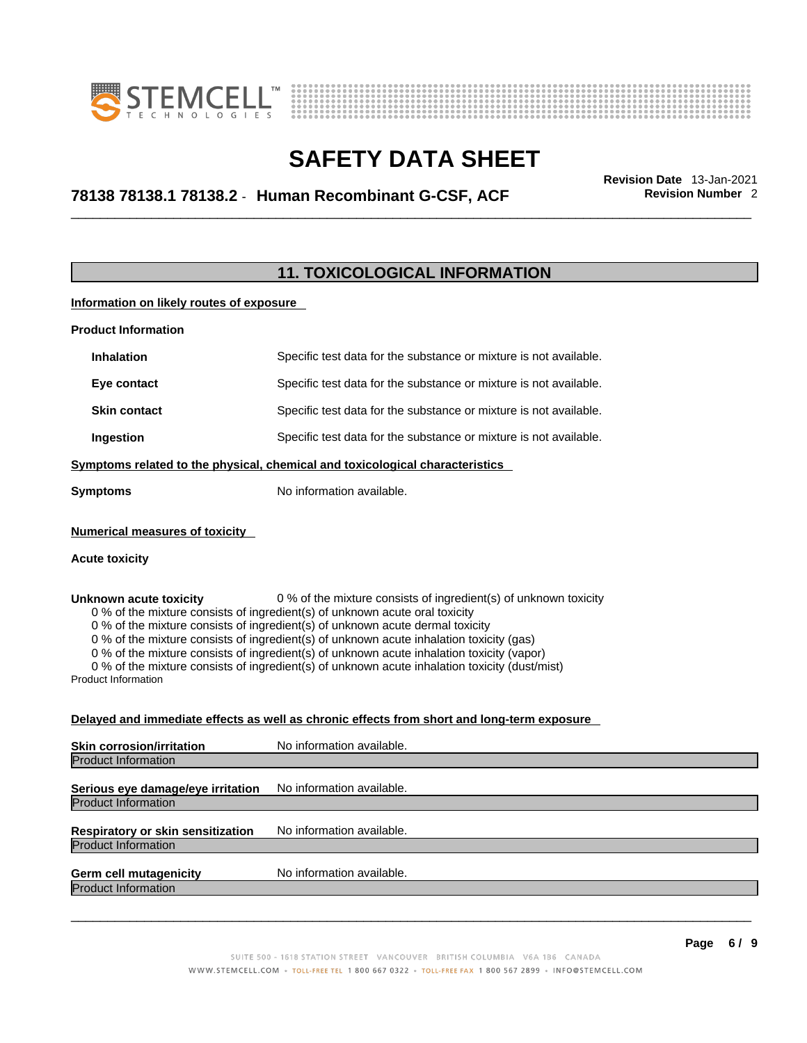



## \_\_\_\_\_\_\_\_\_\_\_\_\_\_\_\_\_\_\_\_\_\_\_\_\_\_\_\_\_\_\_\_\_\_\_\_\_\_\_\_\_\_\_\_\_\_\_\_\_\_\_\_\_\_\_\_\_\_\_\_\_\_\_\_\_\_\_\_\_\_\_\_\_\_\_\_\_\_\_\_\_\_\_\_\_\_\_\_\_\_\_\_\_ **Revision Date** 13-Jan-2021 **78138 78138.1 78138.2** - **Human Recombinant G-CSF, ACF Revision Number** 2

### **11. TOXICOLOGICAL INFORMATION**

**Information on likely routes of exposure**

| <b>Product Information</b> |                                                                                                                                                                                                                                    |  |
|----------------------------|------------------------------------------------------------------------------------------------------------------------------------------------------------------------------------------------------------------------------------|--|
| <b>Inhalation</b>          | Specific test data for the substance or mixture is not available.                                                                                                                                                                  |  |
| Eye contact                | Specific test data for the substance or mixture is not available.                                                                                                                                                                  |  |
| <b>Skin contact</b>        | Specific test data for the substance or mixture is not available.                                                                                                                                                                  |  |
| Ingestion                  | Specific test data for the substance or mixture is not available.                                                                                                                                                                  |  |
|                            | $\bullet$ . The contract of the contract of the contract of the contract of the contract of the contract of the contract of the contract of the contract of the contract of the contract of the contract of the contract of the co |  |

**Symptoms related to the physical,chemical and toxicological characteristics**

**Symptoms** No information available.

#### **Numerical measures of toxicity**

#### **Acute toxicity**

**Unknown acute toxicity** 0 % of the mixture consists of ingredient(s) of unknown toxicity

0 % of the mixture consists of ingredient(s) of unknown acute oral toxicity

0 % of the mixture consists of ingredient(s) of unknown acute dermal toxicity

0 % of the mixture consists of ingredient(s) of unknown acute inhalation toxicity (gas)

0 % of the mixture consists of ingredient(s) of unknown acute inhalation toxicity (vapor)

0 % of the mixture consists of ingredient(s) of unknown acute inhalation toxicity (dust/mist)

Product Information

#### **Delayed and immediate effects as well as chronic effects from short and long-term exposure**

| <b>Skin corrosion/irritation</b>                                       | No information available. |
|------------------------------------------------------------------------|---------------------------|
| <b>Product Information</b>                                             |                           |
| Serious eye damage/eye irritation                                      | No information available. |
| <b>Product Information</b>                                             |                           |
| <b>Respiratory or skin sensitization</b><br><b>Product Information</b> | No information available. |
|                                                                        |                           |
| <b>Germ cell mutagenicity</b><br><b>Product Information</b>            | No information available. |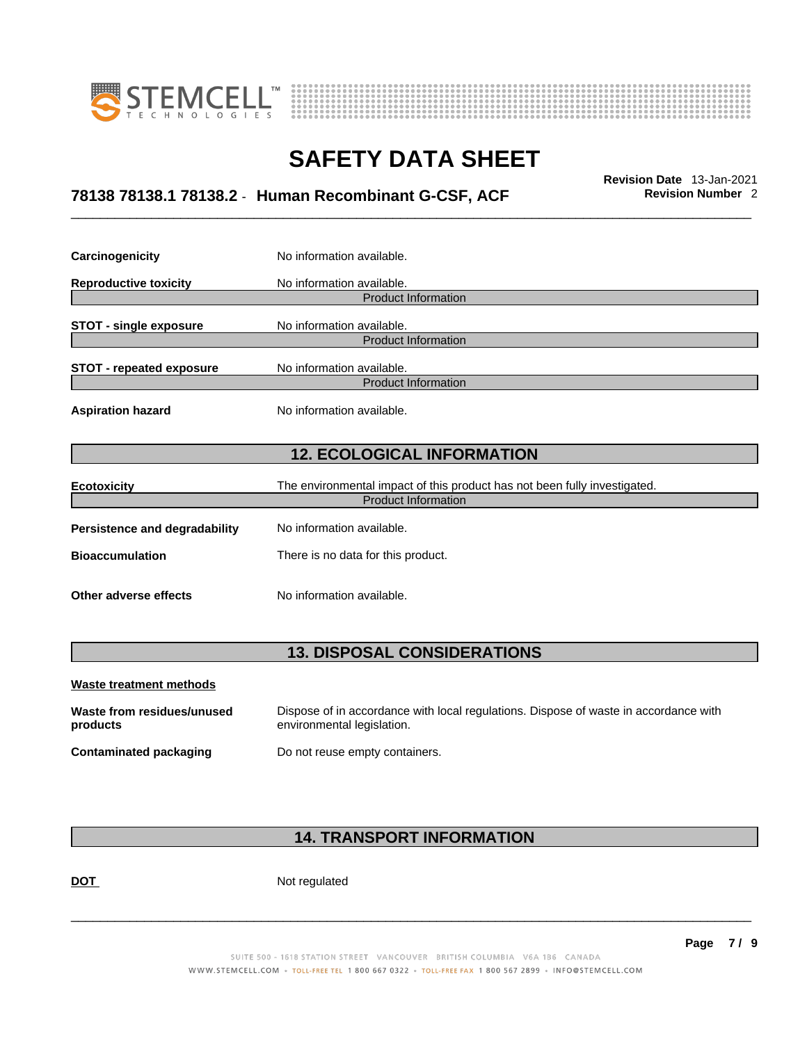



## \_\_\_\_\_\_\_\_\_\_\_\_\_\_\_\_\_\_\_\_\_\_\_\_\_\_\_\_\_\_\_\_\_\_\_\_\_\_\_\_\_\_\_\_\_\_\_\_\_\_\_\_\_\_\_\_\_\_\_\_\_\_\_\_\_\_\_\_\_\_\_\_\_\_\_\_\_\_\_\_\_\_\_\_\_\_\_\_\_\_\_\_\_ **Revision Date** 13-Jan-2021 **78138 78138.1 78138.2** - **Human Recombinant G-CSF, ACF Revision Number** 2

| Carcinogenicity                                            | No information available.                                                 |  |
|------------------------------------------------------------|---------------------------------------------------------------------------|--|
| <b>Reproductive toxicity</b>                               | No information available.                                                 |  |
|                                                            | <b>Product Information</b>                                                |  |
| No information available.<br><b>STOT - single exposure</b> |                                                                           |  |
|                                                            | <b>Product Information</b>                                                |  |
| <b>STOT - repeated exposure</b>                            | No information available.                                                 |  |
|                                                            | <b>Product Information</b>                                                |  |
| <b>Aspiration hazard</b>                                   | No information available.                                                 |  |
|                                                            |                                                                           |  |
| <b>12. ECOLOGICAL INFORMATION</b>                          |                                                                           |  |
|                                                            | The environmental impact of this product has not been fully investigated. |  |
| <b>Ecotoxicity</b>                                         |                                                                           |  |
|                                                            |                                                                           |  |
|                                                            | <b>Product Information</b>                                                |  |
| Persistence and degradability                              | No information available.                                                 |  |
| <b>Bioaccumulation</b>                                     | There is no data for this product.                                        |  |

### **13. DISPOSAL CONSIDERATIONS**

| Waste treatment methods                |                                                                                                                    |
|----------------------------------------|--------------------------------------------------------------------------------------------------------------------|
| Waste from residues/unused<br>products | Dispose of in accordance with local regulations. Dispose of waste in accordance with<br>environmental legislation. |
| Contaminated packaging                 | Do not reuse empty containers.                                                                                     |

### **14. TRANSPORT INFORMATION**

DOT Not regulated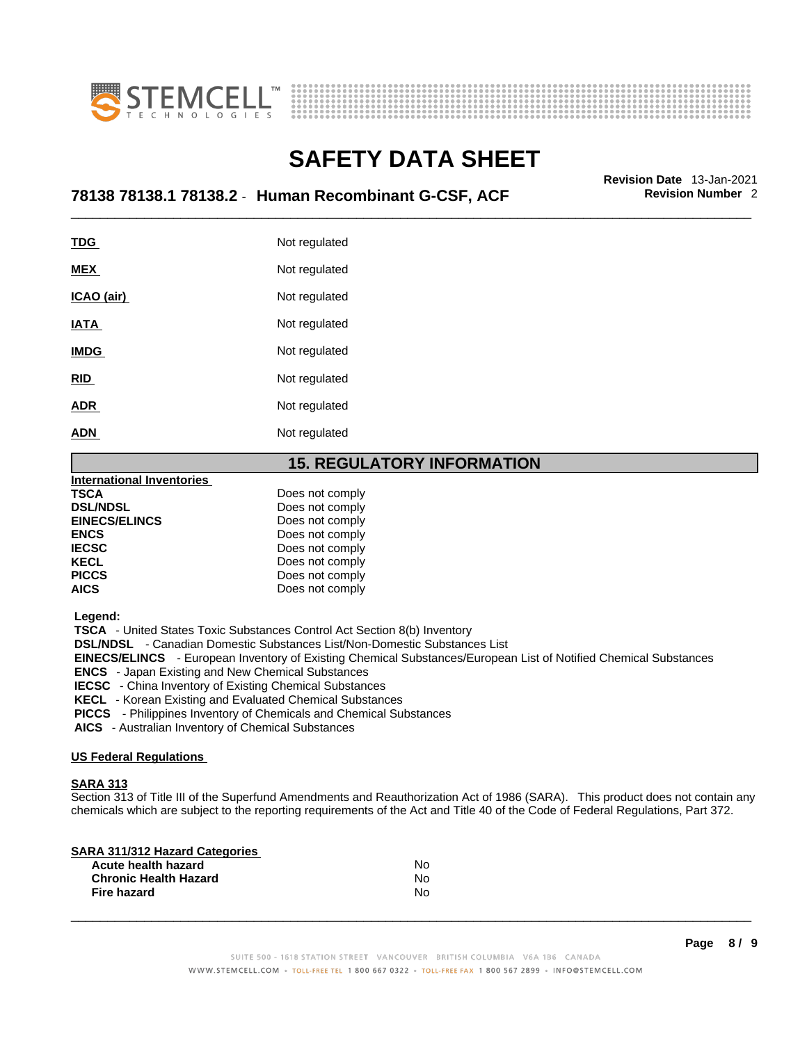



## \_\_\_\_\_\_\_\_\_\_\_\_\_\_\_\_\_\_\_\_\_\_\_\_\_\_\_\_\_\_\_\_\_\_\_\_\_\_\_\_\_\_\_\_\_\_\_\_\_\_\_\_\_\_\_\_\_\_\_\_\_\_\_\_\_\_\_\_\_\_\_\_\_\_\_\_\_\_\_\_\_\_\_\_\_\_\_\_\_\_\_\_\_ **Revision Date** 13-Jan-2021 **78138 78138.1 78138.2** - **Human Recombinant G-CSF, ACF Revision Number** 2

| <b>TDG</b>  | Not regulated |
|-------------|---------------|
| <b>MEX</b>  | Not regulated |
| ICAO (air)  | Not regulated |
| IATA        | Not regulated |
| <b>IMDG</b> | Not regulated |
| <u>RID</u>  | Not regulated |
| <b>ADR</b>  | Not regulated |
| <b>ADN</b>  | Not regulated |
|             |               |

### **15. REGULATORY INFORMATION**

| <b>International Inventories</b> |                 |
|----------------------------------|-----------------|
| TSCA                             | Does not comply |
| <b>DSL/NDSL</b>                  | Does not comply |
| <b>EINECS/ELINCS</b>             | Does not comply |
| <b>ENCS</b>                      | Does not comply |
| <b>IECSC</b>                     | Does not comply |
| <b>KECL</b>                      | Does not comply |
| <b>PICCS</b>                     | Does not comply |
| AICS                             | Does not comply |

 **Legend:** 

 **TSCA** - United States Toxic Substances Control Act Section 8(b) Inventory

 **DSL/NDSL** - Canadian Domestic Substances List/Non-Domestic Substances List

 **EINECS/ELINCS** - European Inventory of Existing Chemical Substances/European List of Notified Chemical Substances

 **ENCS** - Japan Existing and New Chemical Substances

 **IECSC** - China Inventory of Existing Chemical Substances

 **KECL** - Korean Existing and Evaluated Chemical Substances

 **PICCS** - Philippines Inventory of Chemicals and Chemical Substances

 **AICS** - Australian Inventory of Chemical Substances

#### **US Federal Regulations**

#### **SARA 313**

Section 313 of Title III of the Superfund Amendments and Reauthorization Act of 1986 (SARA). This product does not contain any chemicals which are subject to the reporting requirements of the Act and Title 40 of the Code of Federal Regulations, Part 372.

| N٥ |  |
|----|--|
| N٥ |  |
| N٥ |  |
|    |  |